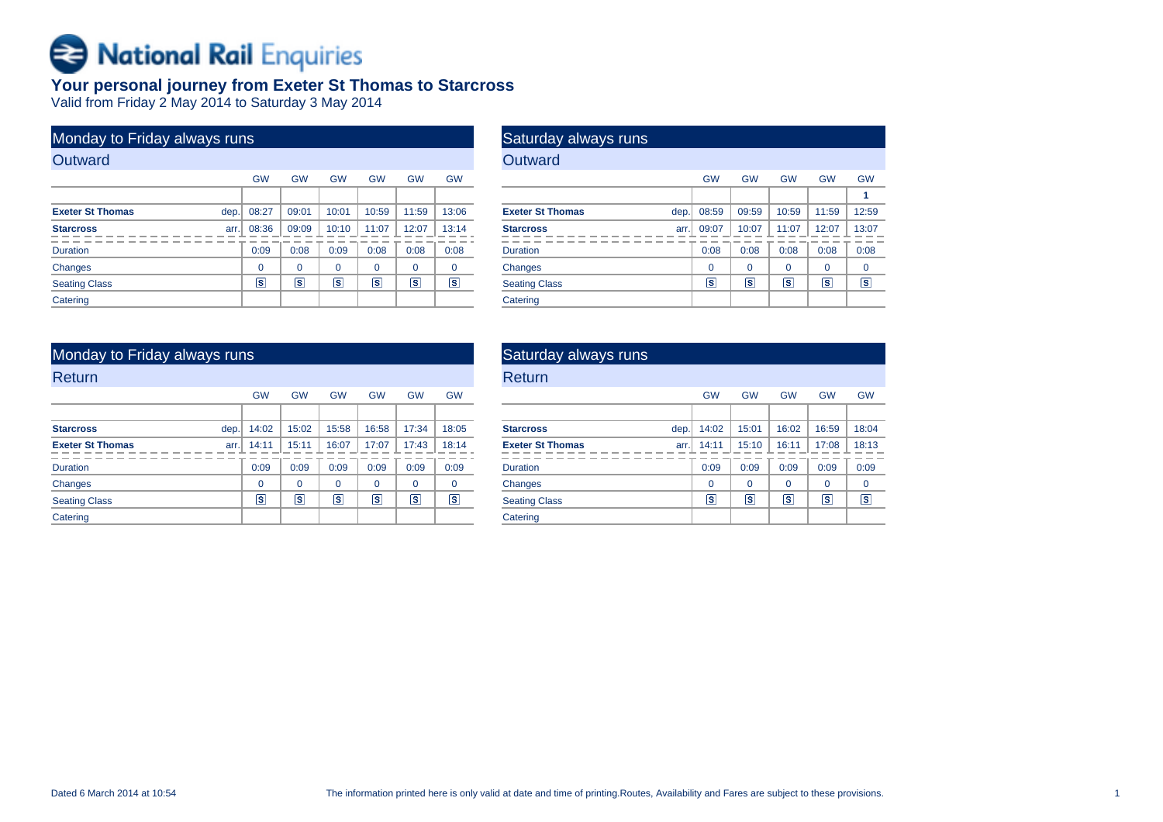# **Bational Rail Enquiries**

# **Your personal journey from Exeter St Thomas to Starcross**

Valid from Friday 2 May 2014 to Saturday 3 May 2014

| Monday to Friday always runs    |                         |           |                 |           |           |             |
|---------------------------------|-------------------------|-----------|-----------------|-----------|-----------|-------------|
| Outward                         |                         |           |                 |           |           |             |
|                                 | <b>GW</b>               | <b>GW</b> | <b>GW</b>       | <b>GW</b> | <b>GW</b> | <b>GW</b>   |
|                                 |                         |           |                 |           |           |             |
| <b>Exeter St Thomas</b><br>dep. | 08:27                   | 09:01     | 10:01           | 10:59     | 11:59     | 13:06       |
| <b>Starcross</b>                | 08:36<br>arr.           | 09:09     | 10:10           | 11:07     | 12:07     | 13:14       |
| <b>Duration</b>                 | 0:09                    | 0:08      | 0:09            | 0:08      | 0:08      | 0:08        |
| Changes                         | 0                       | $\Omega$  | $\Omega$        | $\Omega$  | $\Omega$  | $\mathbf 0$ |
| <b>Seating Class</b>            | $\overline{\mathbf{s}}$ | ls.       | $\vert s \vert$ | ls.       | ls        | s           |
| Catering                        |                         |           |                 |           |           |             |

| Saturday always runs    |      |           |                         |           |           |             |
|-------------------------|------|-----------|-------------------------|-----------|-----------|-------------|
| Outward                 |      |           |                         |           |           |             |
|                         |      | <b>GW</b> | <b>GW</b>               | <b>GW</b> | <b>GW</b> | <b>GW</b>   |
|                         |      |           |                         |           |           | 1           |
| <b>Exeter St Thomas</b> | dep. | 08:59     | 09:59                   | 10:59     | 11:59     | 12:59       |
| <b>Starcross</b>        | arr. | 09:07     | 10:07                   | 11:07     | 12:07     | 13:07       |
| <b>Duration</b>         |      | 0:08      | 0:08                    | 0:08      | 0:08      | 0:08        |
| Changes                 |      | $\Omega$  | 0                       | 0         | 0         | $\mathbf 0$ |
| <b>Seating Class</b>    |      | s         | $\overline{\mathbf{s}}$ | s         | ls.       | ls          |
| Catering                |      |           |                         |           |           |             |

| Monday to Friday always runs    |                         |           |                |                         |           |                         |
|---------------------------------|-------------------------|-----------|----------------|-------------------------|-----------|-------------------------|
| Return                          |                         |           |                |                         |           |                         |
|                                 | <b>GW</b>               | <b>GW</b> | <b>GW</b>      | <b>GW</b>               | <b>GW</b> | <b>GW</b>               |
|                                 |                         |           |                |                         |           |                         |
| <b>Starcross</b><br>dep.        | 14:02                   | 15:02     | 15:58          | 16:58                   | 17:34     | 18:05                   |
| <b>Exeter St Thomas</b><br>arr. | 14:11                   | 15:11     | 16:07          | 17:07                   | 17:43     | 18:14                   |
| <b>Duration</b>                 | 0:09                    | 0:09      | 0:09           | 0:09                    | 0:09      | 0:09                    |
| Changes                         | $\Omega$                | $\Omega$  | $\Omega$       | $\Omega$                | $\Omega$  | $\Omega$                |
| <b>Seating Class</b>            | $\overline{\mathbf{s}}$ | ls.       | $ \mathsf{s} $ | $\overline{\mathbf{s}}$ | ls.       | $\overline{\mathbf{s}}$ |
| Catering                        |                         |           |                |                         |           |                         |

| Saturday always runs            |           |                  |           |           |                |
|---------------------------------|-----------|------------------|-----------|-----------|----------------|
| Return                          |           |                  |           |           |                |
|                                 | <b>GW</b> | <b>GW</b>        | <b>GW</b> | <b>GW</b> | <b>GW</b>      |
|                                 |           |                  |           |           |                |
| <b>Starcross</b><br>dep.        | 14:02     | 15:01            | 16:02     | 16:59     | 18:04          |
| <b>Exeter St Thomas</b><br>arr. | 14:11     | 15:10            | 16:11     | 17:08     | 18:13          |
| <b>Duration</b>                 | 0:09      | 0:09             | 0:09      | 0:09      | 0:09           |
| Changes                         | $\Omega$  | $\Omega$         | $\Omega$  | $\Omega$  | $\Omega$       |
| <b>Seating Class</b>            | ls.       | $ \overline{s} $ | s         | ls.       | $ \mathsf{s} $ |
| Catering                        |           |                  |           |           |                |